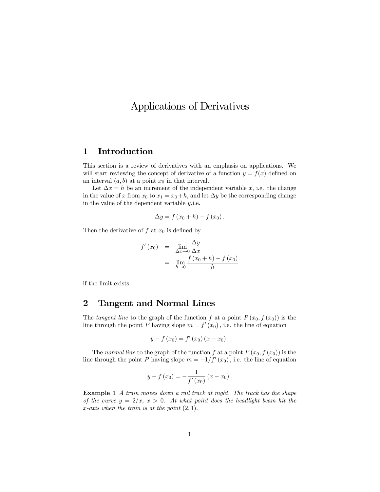# Applications of Derivatives

## 1 Introduction

This section is a review of derivatives with an emphasis on applications. We will start reviewing the concept of derivative of a function  $y = f(x)$  defined on an interval  $(a, b)$  at a point  $x_0$  in that interval.

Let  $\Delta x = h$  be an increment of the independent variable x, i.e. the change in the value of x from  $x_0$  to  $x_1 = x_0+h$ , and let  $\Delta y$  be the corresponding change in the value of the dependent variable  $y$ , i.e.

$$
\Delta y = f(x_0 + h) - f(x_0).
$$

Then the derivative of  $f$  at  $x_0$  is defined by

$$
f'(x_0) = \lim_{\Delta x \to 0} \frac{\Delta y}{\Delta x}
$$
  
= 
$$
\lim_{h \to 0} \frac{f(x_0 + h) - f(x_0)}{h}
$$

if the limit exists.

#### 2 Tangent and Normal Lines

The tangent line to the graph of the function f at a point  $P(x_0, f(x_0))$  is the line through the point P having slope  $m = f'(x_0)$ , i.e. the line of equation

$$
y - f(x_0) = f'(x_0)(x - x_0).
$$

The normal line to the graph of the function f at a point  $P(x_0, f(x_0))$  is the line through the point P having slope  $m = -1/f'(x_0)$ , i.e. the line of equation

$$
y - f(x_0) = -\frac{1}{f'(x_0)}(x - x_0).
$$

Example 1 A train moves down a rail track at night. The track has the shape of the curve  $y = 2/x$ ,  $x > 0$ . At what point does the headlight beam hit the x-axis when the train is at the point  $(2, 1)$ .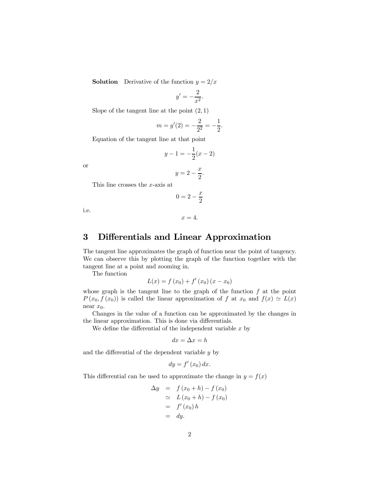**Solution** Derivative of the function  $y = 2/x$ 

$$
y' = -\frac{2}{x^2}.
$$

Slope of the tangent line at the point  $(2, 1)$ 

$$
m = y'(2) = -\frac{2}{2^2} = -\frac{1}{2}.
$$

Equation of the tangent line at that point

$$
y - 1 = -\frac{1}{2}(x - 2)
$$

or

$$
y = 2 - \frac{x}{2}.
$$

This line crosses the x-axis at

$$
0=2-\frac{x}{2}
$$

i.e.

$$
x=4.
$$

### 3 Differentials and Linear Approximation

The tangent line approximates the graph of function near the point of tangency. We can observe this by plotting the graph of the function together with the tangent line at a point and zooming in.

The function

$$
L(x) = f(x_0) + f'(x_0)(x - x_0)
$$

whose graph is the tangent line to the graph of the function  $f$  at the point  $P(x_0, f(x_0))$  is called the linear approximation of f at  $x_0$  and  $f(x) \simeq L(x)$ near  $x_0$ .

Changes in the value of a function can be approximated by the changes in the linear approximation. This is done via differentials.

We define the differential of the independent variable  $x$  by

$$
dx = \Delta x = h
$$

and the differential of the dependent variable  $y$  by

$$
dy = f'(x_0) dx.
$$

This differential can be used to approximate the change in  $y = f(x)$ 

$$
\Delta y = f(x_0 + h) - f(x_0)
$$
  
\n
$$
\simeq L(x_0 + h) - f(x_0)
$$
  
\n
$$
= f'(x_0) h
$$
  
\n
$$
= dy.
$$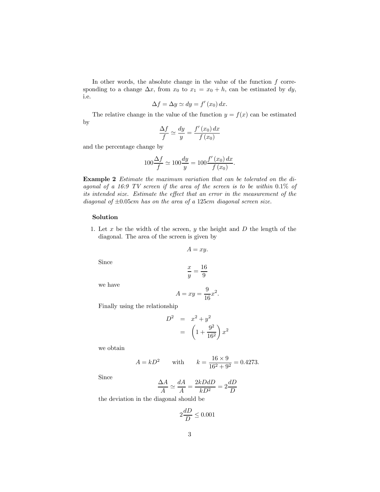In other words, the absolute change in the value of the function  $f$  corresponding to a change  $\Delta x$ , from  $x_0$  to  $x_1 = x_0 + h$ , can be estimated by dy, i.e.

$$
\Delta f = \Delta y \simeq dy = f'(x_0) dx.
$$

The relative change in the value of the function  $y = f(x)$  can be estimated by

$$
\frac{\Delta f}{f} \simeq \frac{dy}{y} = \frac{f'(x_0) dx}{f(x_0)}
$$

and the percentage change by

$$
100\frac{\Delta f}{f} \simeq 100\frac{dy}{y} = 100\frac{f'(x_0) dx}{f(x_0)}.
$$

Example 2 Estimate the maximum variation that can be tolerated on the diagonal of a 16:9 TV screen if the area of the screen is to be within  $0.1\%$  of its intended size. Estimate the effect that an error in the measurement of the diagonal of  $\pm 0.05$ cm has on the area of a 125cm diagonal screen size.

#### Solution

1. Let  $x$  be the width of the screen,  $y$  the height and  $D$  the length of the diagonal. The area of the screen is given by

$$
A=xy.
$$

Since

$$
\frac{x}{y} = \frac{16}{9}
$$

we have

$$
A = xy = \frac{9}{16}x^2.
$$

Finally using the relationship

$$
D^2 = x^2 + y^2
$$
  
=  $\left(1 + \frac{9^2}{16^2}\right)x^2$ 

we obtain

$$
A = kD^2
$$
 with  $k = \frac{16 \times 9}{16^2 + 9^2} = 0.4273.$ 

Since

$$
\frac{\Delta A}{A} \simeq \frac{dA}{A} = \frac{2kDdD}{kD^2} = 2\frac{dD}{D}
$$

the deviation in the diagonal should be

$$
2\frac{dD}{D} \le 0.001
$$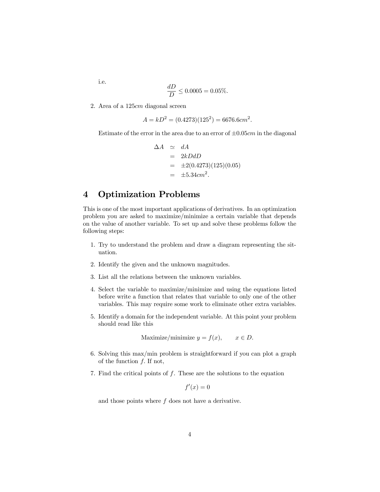i.e.

$$
\frac{dD}{D} \le 0.0005 = 0.05\%.
$$

2. Area of a 125cm diagonal screen

$$
A = kD^2 = (0.4273)(125^2) = 6676.6 \, \text{cm}^2
$$

Estimate of the error in the area due to an error of  $\pm 0.05$ cm in the diagonal

$$
\begin{array}{rcl}\n\Delta A & \simeq & dA \\
& = & 2kDdD \\
& = & \pm 2(0.4273)(125)(0.05) \\
& = & \pm 5.34 \, \text{cm}^2.\n\end{array}
$$

### 4 Optimization Problems

This is one of the most important applications of derivatives. In an optimization problem you are asked to maximize/minimize a certain variable that depends on the value of another variable. To set up and solve these problems follow the following steps:

- 1. Try to understand the problem and draw a diagram representing the situation.
- 2. Identify the given and the unknown magnitudes.
- 3. List all the relations between the unknown variables.
- 4. Select the variable to maximize/minimize and using the equations listed before write a function that relates that variable to only one of the other variables. This may require some work to eliminate other extra variables.
- 5. Identify a domain for the independent variable. At this point your problem should read like this

Maximize/minimize  $y = f(x)$ ,  $x \in D$ .

- 6. Solving this max/min problem is straightforward if you can plot a graph of the function f. If not,
- 7. Find the critical points of f. These are the solutions to the equation

 $f'(x)=0$ 

and those points where  $f$  does not have a derivative.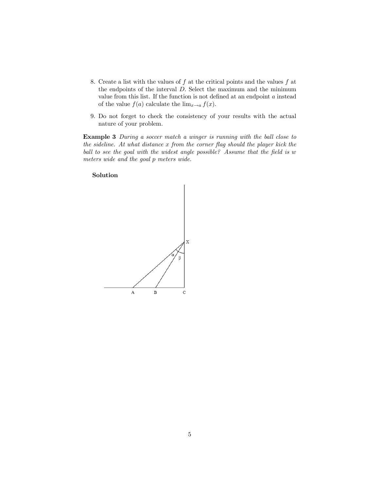- 8. Create a list with the values of  $f$  at the critical points and the values  $f$  at the endpoints of the interval D. Select the maximum and the minimum value from this list. If the function is not defined at an endpoint a instead of the value  $f(a)$  calculate the  $\lim_{x\to a} f(x)$ .
- 9. Do not forget to check the consistency of your results with the actual nature of your problem.

Example 3 During a soccer match a winger is running with the ball close to the sideline. At what distance  $x$  from the corner flag should the player kick the ball to see the goal with the widest angle possible? Assume that the field is w meters wide and the goal p meters wide.

#### Solution